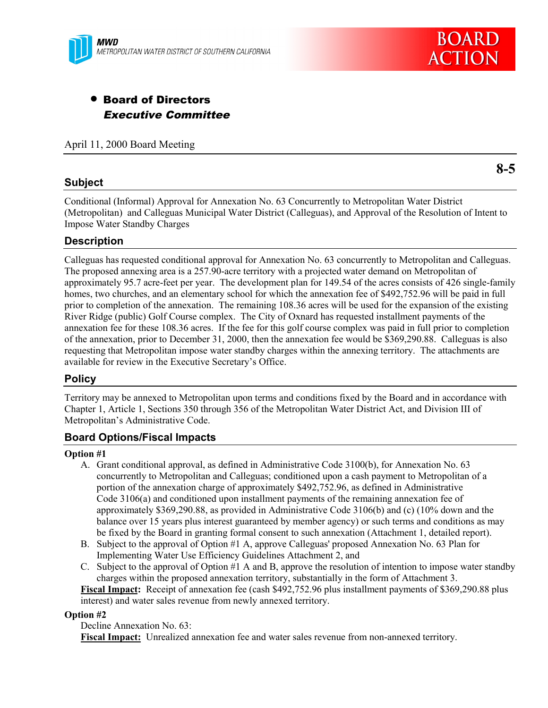

# • Board of Directors Executive Committee

April 11, 2000 Board Meeting

### **Subject**

**8-5**

Conditional (Informal) Approval for Annexation No. 63 Concurrently to Metropolitan Water District (Metropolitan) and Calleguas Municipal Water District (Calleguas), and Approval of the Resolution of Intent to Impose Water Standby Charges

### **Description**

Calleguas has requested conditional approval for Annexation No. 63 concurrently to Metropolitan and Calleguas. The proposed annexing area is a 257.90-acre territory with a projected water demand on Metropolitan of approximately 95.7 acre-feet per year. The development plan for 149.54 of the acres consists of 426 single-family homes, two churches, and an elementary school for which the annexation fee of \$492,752.96 will be paid in full prior to completion of the annexation. The remaining 108.36 acres will be used for the expansion of the existing River Ridge (public) Golf Course complex. The City of Oxnard has requested installment payments of the annexation fee for these 108.36 acres. If the fee for this golf course complex was paid in full prior to completion of the annexation, prior to December 31, 2000, then the annexation fee would be \$369,290.88. Calleguas is also requesting that Metropolitan impose water standby charges within the annexing territory. The attachments are available for review in the Executive Secretary's Office.

### **Policy**

Territory may be annexed to Metropolitan upon terms and conditions fixed by the Board and in accordance with Chapter 1, Article 1, Sections 350 through 356 of the Metropolitan Water District Act, and Division III of Metropolitan's Administrative Code.

### **Board Options/Fiscal Impacts**

#### **Option #1**

- A. Grant conditional approval, as defined in Administrative Code 3100(b), for Annexation No. 63 concurrently to Metropolitan and Calleguas; conditioned upon a cash payment to Metropolitan of a portion of the annexation charge of approximately \$492,752.96, as defined in Administrative Code 3106(a) and conditioned upon installment payments of the remaining annexation fee of approximately \$369,290.88, as provided in Administrative Code 3106(b) and (c) (10% down and the balance over 15 years plus interest guaranteed by member agency) or such terms and conditions as may be fixed by the Board in granting formal consent to such annexation (Attachment 1, detailed report).
- B. Subject to the approval of Option #1 A, approve Calleguas' proposed Annexation No. 63 Plan for Implementing Water Use Efficiency Guidelines Attachment 2, and
- C. Subject to the approval of Option #1 A and B, approve the resolution of intention to impose water standby charges within the proposed annexation territory, substantially in the form of Attachment 3.

**Fiscal Impact:** Receipt of annexation fee (cash \$492,752.96 plus installment payments of \$369,290.88 plus interest) and water sales revenue from newly annexed territory.

#### **Option #2**

Decline Annexation No. 63:

**Fiscal Impact:** Unrealized annexation fee and water sales revenue from non-annexed territory.